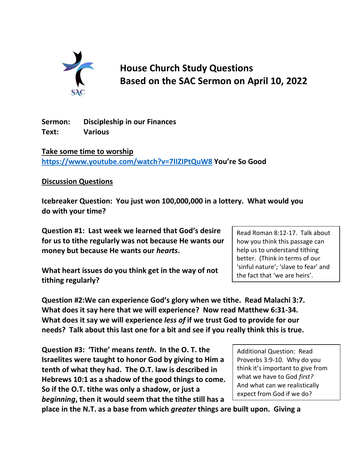

**House Church Study Questions Based on the SAC Sermon on April 10, 2022**

**Sermon: Discipleship in our Finances Text: Various**

**Take some time to worship <https://www.youtube.com/watch?v=7IIZIPtQuW8> You're So Good**

## **Discussion Questions**

**Icebreaker Question: You just won 100,000,000 in a lottery. What would you do with your time?**

**Question #1: Last week we learned that God's desire for us to tithe regularly was not because He wants our money but because He wants our** *hearts***.** 

**What heart issues do you think get in the way of not tithing regularly?**

**Question #2:We can experience God's glory when we tithe. Read Malachi 3:7. What does it say here that we will experience? Now read Matthew 6:31-34. What does it say we will experience** *less of* **if we trust God to provide for our needs? Talk about this last one for a bit and see if you really think this is true.**

**Question #3: 'Tithe' means** *tenth***. In the O. T. the Israelites were taught to honor God by giving to Him a tenth of what they had. The O.T. law is described in Hebrews 10:1 as a shadow of the good things to come. So if the O.T. tithe was only a shadow, or just a**  *beginning***, then it would seem that the tithe still has a** 

**place in the N.T. as a base from which** *greater* **things are built upon. Giving a** 

Read Roman 8:12-17. Talk about how you think this passage can help us to understand tithing better. (Think in terms of our 'sinful nature'; 'slave to fear' and the fact that 'we are heirs'.

Additional Question: Read Proverbs 3:9-10. Why do you think it's important to give from what we have to God *first?*  And what can we realistically expect from God if we do?